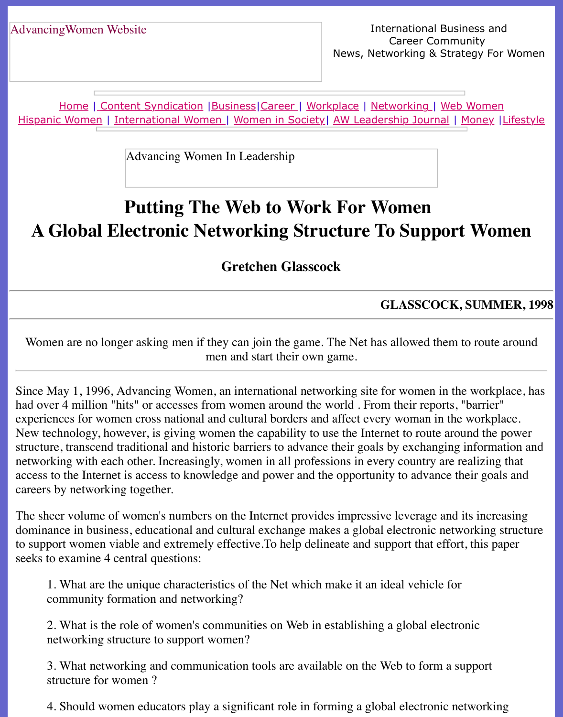Home | Content Syndication | Business | Career | Workplace | Networking | Web Wo Hispanic Women | International Women | Women in Society | AW Leadership Journal | Mon

Advancing Women In Leadership

# **[Putting T](file:///content.html)[h](file:///international.html)[e We](file:///business.html)[b](file:///Users/nrahman/Desktop/Flash2/womsoc/index.html) [to](file:///awcareer.html) [W](file:///Users/nrahman/Desktop/Flash2/womsoc/index.html)[ork Fo](file:///workplace.html)[r](file:///awl/awl.html) [Women](file:///networks.html) [A Global](file:///hispanic.html) Electronic Networking Structure To Support V**

**Gretchen Glasscock**

## **GLASSCOCK, SU**

Women are no longer asking men if they can join the game. The Net has allowed them to r men and start their own game.

Since May 1, 1996, Advancing Women, an international networking site for women in the w had over 4 million "hits" or accesses from women around the world . From their reports, "ba experiences for women cross national and cultural borders and affect every woman in the work New technology, however, is giving women the capability to use the Internet to route around structure, transcend traditional and historic barriers to advance their goals by exchanging information and  $\alpha$ networking with each other. Increasingly, women in all professions in every country are realized access to the Internet is access to knowledge and power and the opportunity to advance their careers by networking together.

The sheer volume of women's numbers on the Internet provides impressive leverage and its increased its increasing the Internet provides impressive leverage and its in dominance in business, educational and cultural exchange makes a global electronic network to support women viable and extremely effective. To help delineate and support that effort, the seeks to examine 4 central questions:

1. What are the unique characteristics of the Net which make it an ideal vehicle for community formation and networking?

2. What is the role of women's communities on Web in establishing a global electronic networking structure to support women?

3. What networking and communication tools are available on the Web to form a supp structure for women ?

4. Should women educators play a significant role in forming a global electronic networking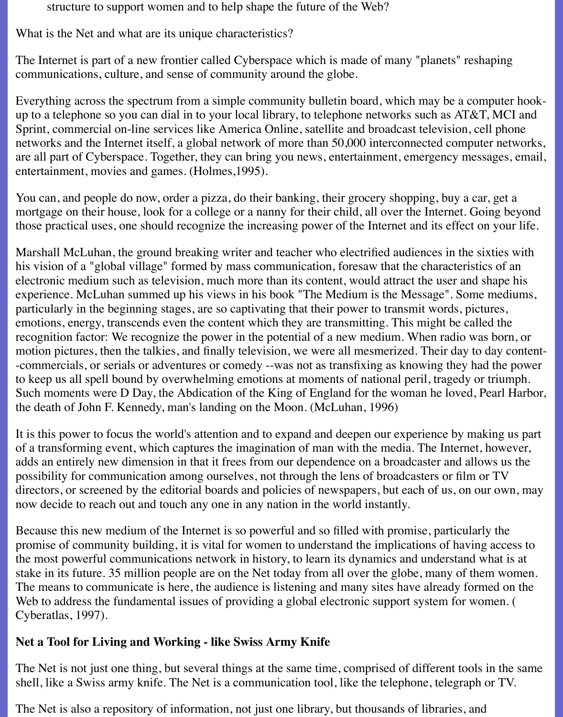structure to support women and to help shape the future of the Web?

What is the Net and what are its unique characteristics?

The Internet is part of a new frontier called Cyberspace which is made of many "planets" reshaping communications, culture, and sense of community around the globe.

Everything across the spectrum from a simple community bulletin board, which may be a computer hookup to a telephone so you can dial in to your local library, to telephone networks such as AT&T, MCI and Sprint, commercial on-line services like America Online, satellite and broadcast television, cell phone networks and the Internet itself, a global network of more than 50,000 interconnected computer networks, are all part of Cyberspace. Together, they can bring you news, entertainment, emergency messages, email, entertainment, movies and games. (Holmes,1995).

You can, and people do now, order a pizza, do their banking, their grocery shopping, buy a car, get a mortgage on their house, look for a college or a nanny for their child, all over the Internet. Going beyond those practical uses, one should recognize the increasing power of the Internet and its effect on your life.

Marshall McLuhan, the ground breaking writer and teacher who electrified audiences in the sixties with his vision of a "global village" formed by mass communication, foresaw that the characteristics of an electronic medium such as television, much more than its content, would attract the user and shape his experience. McLuhan summed up his views in his book "The Medium is the Message". Some mediums, particularly in the beginning stages, are so captivating that their power to transmit words, pictures, emotions, energy, transcends even the content which they are transmitting. This might be called the recognition factor: We recognize the power in the potential of a new medium. When radio was born, or motion pictures, then the talkies, and finally television, we were all mesmerized. Their day to day content- -commercials, or serials or adventures or comedy --was not as transfixing as knowing they had the power to keep us all spell bound by overwhelming emotions at moments of national peril, tragedy or triumph. Such moments were D Day, the Abdication of the King of England for the woman he loved, Pearl Harbor, the death of John F. Kennedy, man's landing on the Moon. (McLuhan, 1996)

It is this power to focus the world's attention and to expand and deepen our experience by making us part of a transforming event, which captures the imagination of man with the media. The Internet, however, adds an entirely new dimension in that it frees from our dependence on a broadcaster and allows us the possibility for communication among ourselves, not through the lens of broadcasters or film or TV directors, or screened by the editorial boards and policies of newspapers, but each of us, on our own, may now decide to reach out and touch any one in any nation in the world instantly.

Because this new medium of the Internet is so powerful and so filled with promise, particularly the promise of community building, it is vital for women to understand the implications of having access to the most powerful communications network in history, to learn its dynamics and understand what is at stake in its future. 35 million people are on the Net today from all over the globe, many of them women. The means to communicate is here, the audience is listening and many sites have already formed on the Web to address the fundamental issues of providing a global electronic support system for women. ( Cyberatlas, 1997).

# **Net a Tool for Living and Working - like Swiss Army Knife**

The Net is not just one thing, but several things at the same time, comprised of different tools in the same shell, like a Swiss army knife. The Net is a communication tool, like the telephone, telegraph or TV.

The Net is also a repository of information, not just one library, but thousands of libraries, and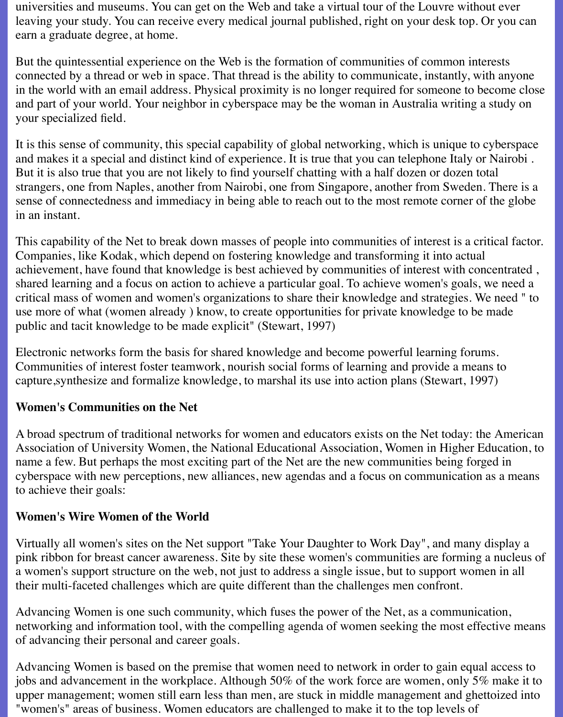universities and museums. You can get on the Web and take a virtual tour of the Louvre without ever leaving your study. You can receive every medical journal published, right on your desk top. Or you can earn a graduate degree, at home.

But the quintessential experience on the Web is the formation of communities of common interests connected by a thread or web in space. That thread is the ability to communicate, instantly, with anyone in the world with an email address. Physical proximity is no longer required for someone to become close and part of your world. Your neighbor in cyberspace may be the woman in Australia writing a study on your specialized field.

It is this sense of community, this special capability of global networking, which is unique to cyberspace and makes it a special and distinct kind of experience. It is true that you can telephone Italy or Nairobi . But it is also true that you are not likely to find yourself chatting with a half dozen or dozen total strangers, one from Naples, another from Nairobi, one from Singapore, another from Sweden. There is a sense of connectedness and immediacy in being able to reach out to the most remote corner of the globe in an instant.

This capability of the Net to break down masses of people into communities of interest is a critical factor. Companies, like Kodak, which depend on fostering knowledge and transforming it into actual achievement, have found that knowledge is best achieved by communities of interest with concentrated , shared learning and a focus on action to achieve a particular goal. To achieve women's goals, we need a critical mass of women and women's organizations to share their knowledge and strategies. We need " to use more of what (women already ) know, to create opportunities for private knowledge to be made public and tacit knowledge to be made explicit" (Stewart, 1997)

Electronic networks form the basis for shared knowledge and become powerful learning forums. Communities of interest foster teamwork, nourish social forms of learning and provide a means to capture,synthesize and formalize knowledge, to marshal its use into action plans (Stewart, 1997)

#### **Women's Communities on the Net**

A broad spectrum of traditional networks for women and educators exists on the Net today: the American Association of University Women, the National Educational Association, Women in Higher Education, to name a few. But perhaps the most exciting part of the Net are the new communities being forged in cyberspace with new perceptions, new alliances, new agendas and a focus on communication as a means to achieve their goals:

#### **Women's Wire Women of the World**

Virtually all women's sites on the Net support "Take Your Daughter to Work Day", and many display a pink ribbon for breast cancer awareness. Site by site these women's communities are forming a nucleus of a women's support structure on the web, not just to address a single issue, but to support women in all their multi-faceted challenges which are quite different than the challenges men confront.

Advancing Women is one such community, which fuses the power of the Net, as a communication, networking and information tool, with the compelling agenda of women seeking the most effective means of advancing their personal and career goals.

Advancing Women is based on the premise that women need to network in order to gain equal access to jobs and advancement in the workplace. Although 50% of the work force are women, only 5% make it to upper management; women still earn less than men, are stuck in middle management and ghettoized into "women's" areas of business. Women educators are challenged to make it to the top levels of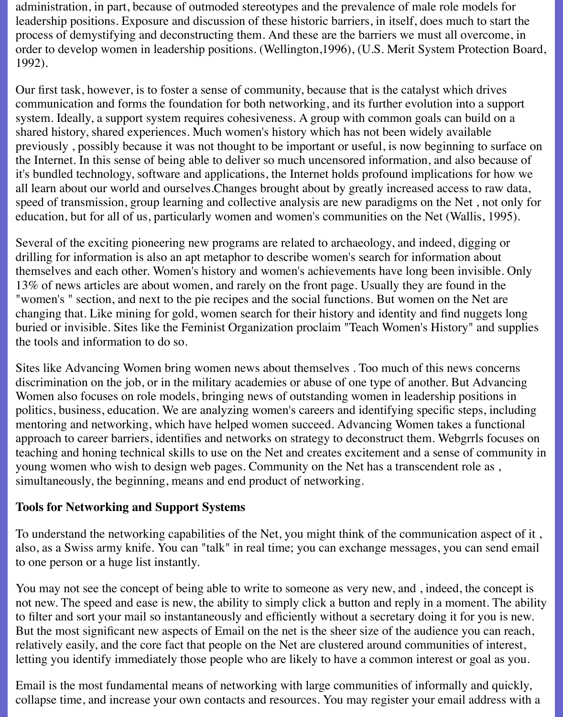administration, in part, because of outmoded stereotypes and the prevalence of male role models for leadership positions. Exposure and discussion of these historic barriers, in itself, does much to start the process of demystifying and deconstructing them. And these are the barriers we must all overcome, in order to develop women in leadership positions. (Wellington,1996), (U.S. Merit System Protection Board, 1992).

Our first task, however, is to foster a sense of community, because that is the catalyst which drives communication and forms the foundation for both networking, and its further evolution into a support system. Ideally, a support system requires cohesiveness. A group with common goals can build on a shared history, shared experiences. Much women's history which has not been widely available previously , possibly because it was not thought to be important or useful, is now beginning to surface on the Internet. In this sense of being able to deliver so much uncensored information, and also because of it's bundled technology, software and applications, the Internet holds profound implications for how we all learn about our world and ourselves.Changes brought about by greatly increased access to raw data, speed of transmission, group learning and collective analysis are new paradigms on the Net , not only for education, but for all of us, particularly women and women's communities on the Net (Wallis, 1995).

Several of the exciting pioneering new programs are related to archaeology, and indeed, digging or drilling for information is also an apt metaphor to describe women's search for information about themselves and each other. Women's history and women's achievements have long been invisible. Only 13% of news articles are about women, and rarely on the front page. Usually they are found in the "women's " section, and next to the pie recipes and the social functions. But women on the Net are changing that. Like mining for gold, women search for their history and identity and find nuggets long buried or invisible. Sites like the Feminist Organization proclaim "Teach Women's History" and supplies the tools and information to do so.

Sites like Advancing Women bring women news about themselves . Too much of this news concerns discrimination on the job, or in the military academies or abuse of one type of another. But Advancing Women also focuses on role models, bringing news of outstanding women in leadership positions in politics, business, education. We are analyzing women's careers and identifying specific steps, including mentoring and networking, which have helped women succeed. Advancing Women takes a functional approach to career barriers, identifies and networks on strategy to deconstruct them. Webgrrls focuses on teaching and honing technical skills to use on the Net and creates excitement and a sense of community in young women who wish to design web pages. Community on the Net has a transcendent role as , simultaneously, the beginning, means and end product of networking.

#### **Tools for Networking and Support Systems**

To understand the networking capabilities of the Net, you might think of the communication aspect of it , also, as a Swiss army knife. You can "talk" in real time; you can exchange messages, you can send email to one person or a huge list instantly.

You may not see the concept of being able to write to someone as very new, and , indeed, the concept is not new. The speed and ease is new, the ability to simply click a button and reply in a moment. The ability to filter and sort your mail so instantaneously and efficiently without a secretary doing it for you is new. But the most significant new aspects of Email on the net is the sheer size of the audience you can reach, relatively easily, and the core fact that people on the Net are clustered around communities of interest, letting you identify immediately those people who are likely to have a common interest or goal as you.

Email is the most fundamental means of networking with large communities of informally and quickly, collapse time, and increase your own contacts and resources. You may register your email address with a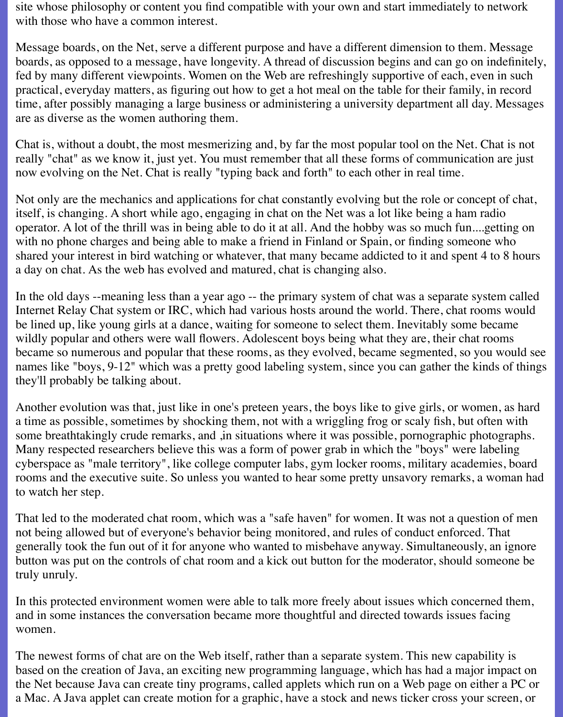site whose philosophy or content you find compatible with your own and start immediately to network with those who have a common interest.

Message boards, on the Net, serve a different purpose and have a different dimension to them. Message boards, as opposed to a message, have longevity. A thread of discussion begins and can go on indefinitely, fed by many different viewpoints. Women on the Web are refreshingly supportive of each, even in such practical, everyday matters, as figuring out how to get a hot meal on the table for their family, in record time, after possibly managing a large business or administering a university department all day. Messages are as diverse as the women authoring them.

Chat is, without a doubt, the most mesmerizing and, by far the most popular tool on the Net. Chat is not really "chat" as we know it, just yet. You must remember that all these forms of communication are just now evolving on the Net. Chat is really "typing back and forth" to each other in real time.

Not only are the mechanics and applications for chat constantly evolving but the role or concept of chat, itself, is changing. A short while ago, engaging in chat on the Net was a lot like being a ham radio operator. A lot of the thrill was in being able to do it at all. And the hobby was so much fun....getting on with no phone charges and being able to make a friend in Finland or Spain, or finding someone who shared your interest in bird watching or whatever, that many became addicted to it and spent 4 to 8 hours a day on chat. As the web has evolved and matured, chat is changing also.

In the old days --meaning less than a year ago -- the primary system of chat was a separate system called Internet Relay Chat system or IRC, which had various hosts around the world. There, chat rooms would be lined up, like young girls at a dance, waiting for someone to select them. Inevitably some became wildly popular and others were wall flowers. Adolescent boys being what they are, their chat rooms became so numerous and popular that these rooms, as they evolved, became segmented, so you would see names like "boys, 9-12" which was a pretty good labeling system, since you can gather the kinds of things they'll probably be talking about.

Another evolution was that, just like in one's preteen years, the boys like to give girls, or women, as hard a time as possible, sometimes by shocking them, not with a wriggling frog or scaly fish, but often with some breathtakingly crude remarks, and ,in situations where it was possible, pornographic photographs. Many respected researchers believe this was a form of power grab in which the "boys" were labeling cyberspace as "male territory", like college computer labs, gym locker rooms, military academies, board rooms and the executive suite. So unless you wanted to hear some pretty unsavory remarks, a woman had to watch her step.

That led to the moderated chat room, which was a "safe haven" for women. It was not a question of men not being allowed but of everyone's behavior being monitored, and rules of conduct enforced. That generally took the fun out of it for anyone who wanted to misbehave anyway. Simultaneously, an ignore button was put on the controls of chat room and a kick out button for the moderator, should someone be truly unruly.

In this protected environment women were able to talk more freely about issues which concerned them, and in some instances the conversation became more thoughtful and directed towards issues facing women.

The newest forms of chat are on the Web itself, rather than a separate system. This new capability is based on the creation of Java, an exciting new programming language, which has had a major impact on the Net because Java can create tiny programs, called applets which run on a Web page on either a PC or a Mac. A Java applet can create motion for a graphic, have a stock and news ticker cross your screen, or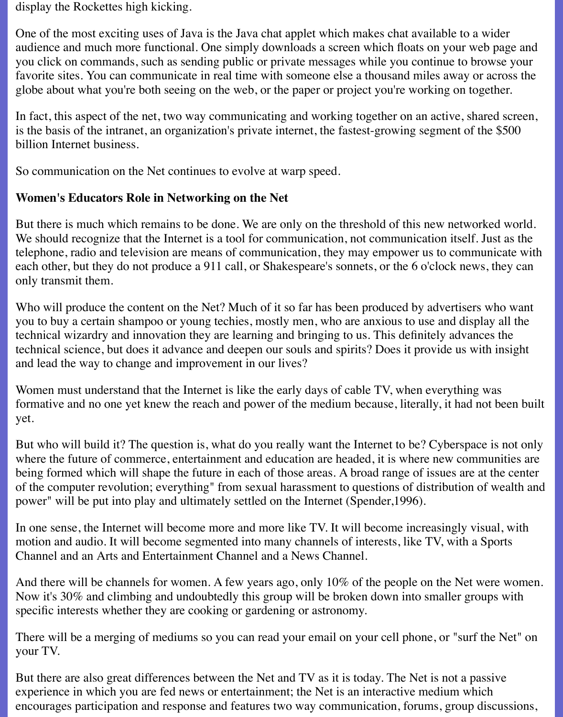display the Rockettes high kicking.

One of the most exciting uses of Java is the Java chat applet which makes chat available to a wider audience and much more functional. One simply downloads a screen which floats on your web page and you click on commands, such as sending public or private messages while you continue to browse your favorite sites. You can communicate in real time with someone else a thousand miles away or across the globe about what you're both seeing on the web, or the paper or project you're working on together.

In fact, this aspect of the net, two way communicating and working together on an active, shared screen, is the basis of the intranet, an organization's private internet, the fastest-growing segment of the \$500 billion Internet business.

So communication on the Net continues to evolve at warp speed.

### **Women's Educators Role in Networking on the Net**

But there is much which remains to be done. We are only on the threshold of this new networked world. We should recognize that the Internet is a tool for communication, not communication itself. Just as the telephone, radio and television are means of communication, they may empower us to communicate with each other, but they do not produce a 911 call, or Shakespeare's sonnets, or the 6 o'clock news, they can only transmit them.

Who will produce the content on the Net? Much of it so far has been produced by advertisers who want you to buy a certain shampoo or young techies, mostly men, who are anxious to use and display all the technical wizardry and innovation they are learning and bringing to us. This definitely advances the technical science, but does it advance and deepen our souls and spirits? Does it provide us with insight and lead the way to change and improvement in our lives?

Women must understand that the Internet is like the early days of cable TV, when everything was formative and no one yet knew the reach and power of the medium because, literally, it had not been built yet.

But who will build it? The question is, what do you really want the Internet to be? Cyberspace is not only where the future of commerce, entertainment and education are headed, it is where new communities are being formed which will shape the future in each of those areas. A broad range of issues are at the center of the computer revolution; everything" from sexual harassment to questions of distribution of wealth and power" will be put into play and ultimately settled on the Internet (Spender,1996).

In one sense, the Internet will become more and more like TV. It will become increasingly visual, with motion and audio. It will become segmented into many channels of interests, like TV, with a Sports Channel and an Arts and Entertainment Channel and a News Channel.

And there will be channels for women. A few years ago, only 10% of the people on the Net were women. Now it's 30% and climbing and undoubtedly this group will be broken down into smaller groups with specific interests whether they are cooking or gardening or astronomy.

There will be a merging of mediums so you can read your email on your cell phone, or "surf the Net" on your TV.

But there are also great differences between the Net and TV as it is today. The Net is not a passive experience in which you are fed news or entertainment; the Net is an interactive medium which encourages participation and response and features two way communication, forums, group discussions,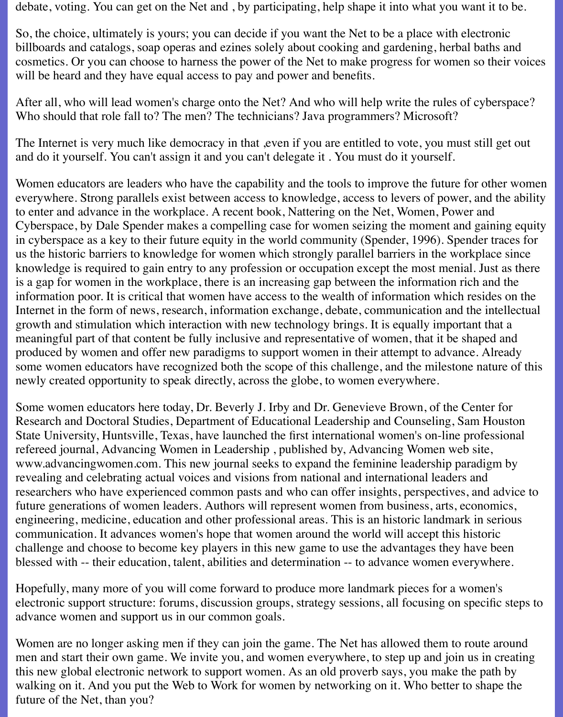debate, voting. You can get on the Net and , by participating, help shape it into what you want it to be.

So, the choice, ultimately is yours; you can decide if you want the Net to be a place with electronic billboards and catalogs, soap operas and ezines solely about cooking and gardening, herbal baths and cosmetics. Or you can choose to harness the power of the Net to make progress for women so their voices will be heard and they have equal access to pay and power and benefits.

After all, who will lead women's charge onto the Net? And who will help write the rules of cyberspace? Who should that role fall to? The men? The technicians? Java programmers? Microsoft?

The Internet is very much like democracy in that ,even if you are entitled to vote, you must still get out and do it yourself. You can't assign it and you can't delegate it . You must do it yourself.

Women educators are leaders who have the capability and the tools to improve the future for other women everywhere. Strong parallels exist between access to knowledge, access to levers of power, and the ability to enter and advance in the workplace. A recent book, Nattering on the Net, Women, Power and Cyberspace, by Dale Spender makes a compelling case for women seizing the moment and gaining equity in cyberspace as a key to their future equity in the world community (Spender, 1996). Spender traces for us the historic barriers to knowledge for women which strongly parallel barriers in the workplace since knowledge is required to gain entry to any profession or occupation except the most menial. Just as there is a gap for women in the workplace, there is an increasing gap between the information rich and the information poor. It is critical that women have access to the wealth of information which resides on the Internet in the form of news, research, information exchange, debate, communication and the intellectual growth and stimulation which interaction with new technology brings. It is equally important that a meaningful part of that content be fully inclusive and representative of women, that it be shaped and produced by women and offer new paradigms to support women in their attempt to advance. Already some women educators have recognized both the scope of this challenge, and the milestone nature of this newly created opportunity to speak directly, across the globe, to women everywhere.

Some women educators here today, Dr. Beverly J. Irby and Dr. Genevieve Brown, of the Center for Research and Doctoral Studies, Department of Educational Leadership and Counseling, Sam Houston State University, Huntsville, Texas, have launched the first international women's on-line professional refereed journal, Advancing Women in Leadership , published by, Advancing Women web site, www.advancingwomen.com. This new journal seeks to expand the feminine leadership paradigm by revealing and celebrating actual voices and visions from national and international leaders and researchers who have experienced common pasts and who can offer insights, perspectives, and advice to future generations of women leaders. Authors will represent women from business, arts, economics, engineering, medicine, education and other professional areas. This is an historic landmark in serious communication. It advances women's hope that women around the world will accept this historic challenge and choose to become key players in this new game to use the advantages they have been blessed with -- their education, talent, abilities and determination -- to advance women everywhere.

Hopefully, many more of you will come forward to produce more landmark pieces for a women's electronic support structure: forums, discussion groups, strategy sessions, all focusing on specific steps to advance women and support us in our common goals.

Women are no longer asking men if they can join the game. The Net has allowed them to route around men and start their own game. We invite you, and women everywhere, to step up and join us in creating this new global electronic network to support women. As an old proverb says, you make the path by walking on it. And you put the Web to Work for women by networking on it. Who better to shape the future of the Net, than you?